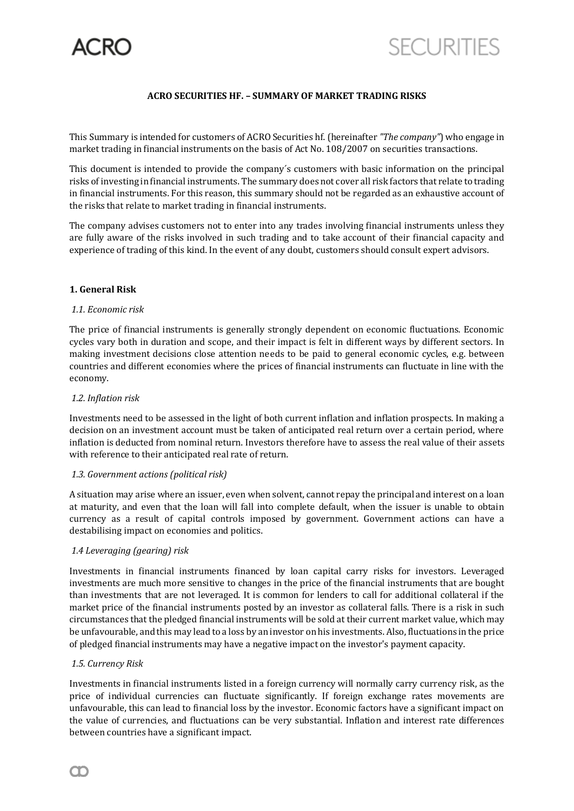

# **ACRO SECURITIES HF. – SUMMARY OF MARKET TRADING RISKS**

This Summary is intended for customers of ACRO Securities hf. (hereinafter *"The company"*) who engage in market trading in financial instruments on the basis of Act No. 108/2007 on securities transactions.

This document is intended to provide the company´s customers with basic information on the principal risks of investing in financial instruments. The summary does not cover all risk factors that relate to trading in financial instruments. For this reason, this summary should not be regarded as an exhaustive account of the risks that relate to market trading in financial instruments.

The company advises customers not to enter into any trades involving financial instruments unless they are fully aware of the risks involved in such trading and to take account of their financial capacity and experience of trading of this kind. In the event of any doubt, customers should consult expert advisors.

### **1. General Risk**

### *1.1. Economic risk*

The price of financial instruments is generally strongly dependent on economic fluctuations. Economic cycles vary both in duration and scope, and their impact is felt in different ways by different sectors. In making investment decisions close attention needs to be paid to general economic cycles, e.g. between countries and different economies where the prices of financial instruments can fluctuate in line with the economy.

### *1.2. Inflation risk*

Investments need to be assessed in the light of both current inflation and inflation prospects. In making a decision on an investment account must be taken of anticipated real return over a certain period, where inflation is deducted from nominal return. Investors therefore have to assess the real value of their assets with reference to their anticipated real rate of return.

### *1.3. Government actions (political risk)*

A situation may arise where an issuer, even when solvent, cannot repay the principal and interest on a loan at maturity, and even that the loan will fall into complete default, when the issuer is unable to obtain currency as a result of capital controls imposed by government. Government actions can have a destabilising impact on economies and politics.

### *1.4 Leveraging (gearing) risk*

Investments in financial instruments financed by loan capital carry risks for investors. Leveraged investments are much more sensitive to changes in the price of the financial instruments that are bought than investments that are not leveraged. It is common for lenders to call for additional collateral if the market price of the financial instruments posted by an investor as collateral falls. There is a risk in such circumstances that the pledged financial instruments will be sold at their current market value, which may be unfavourable, and this may lead to a loss by an investor on his investments. Also, fluctuations in the price of pledged financial instruments may have a negative impact on the investor's payment capacity.

### *1.5. Currency Risk*

Investments in financial instruments listed in a foreign currency will normally carry currency risk, as the price of individual currencies can fluctuate significantly. If foreign exchange rates movements are unfavourable, this can lead to financial loss by the investor. Economic factors have a significant impact on the value of currencies, and fluctuations can be very substantial. Inflation and interest rate differences between countries have a significant impact.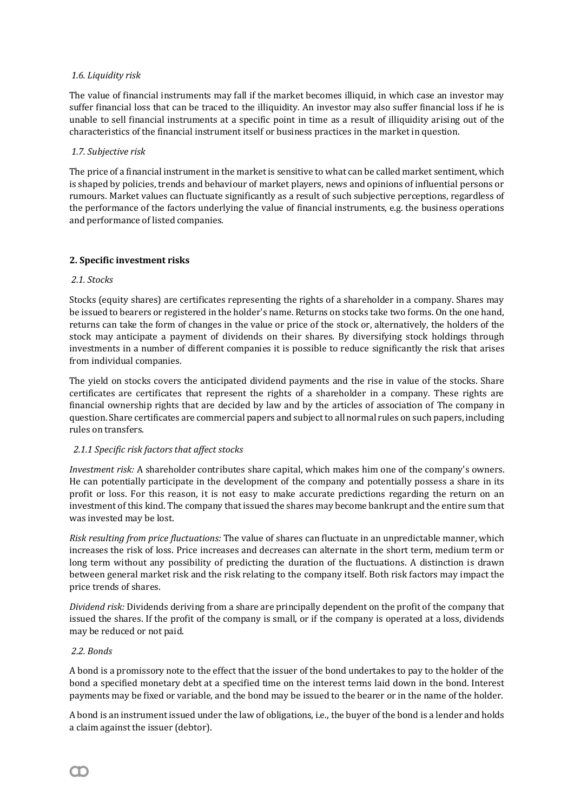# *1.6. Liquidity risk*

The value of financial instruments may fall if the market becomes illiquid, in which case an investor may suffer financial loss that can be traced to the illiquidity. An investor may also suffer financial loss if he is unable to sell financial instruments at a specific point in time as a result of illiquidity arising out of the characteristics of the financial instrument itself or business practices in the market in question.

## *1.7. Subjective risk*

The price of a financial instrument in the market is sensitive to what can be called market sentiment, which is shaped by policies, trends and behaviour of market players, news and opinions of influential persons or rumours. Market values can fluctuate significantly as a result of such subjective perceptions, regardless of the performance of the factors underlying the value of financial instruments, e.g. the business operations and performance of listed companies.

## **2. Specific investment risks**

### *2.1. Stocks*

Stocks (equity shares) are certificates representing the rights of a shareholder in a company. Shares may be issued to bearers or registered in the holder's name. Returns on stocks take two forms. On the one hand, returns can take the form of changes in the value or price of the stock or, alternatively, the holders of the stock may anticipate a payment of dividends on their shares. By diversifying stock holdings through investments in a number of different companies it is possible to reduce significantly the risk that arises from individual companies.

The yield on stocks covers the anticipated dividend payments and the rise in value of the stocks. Share certificates are certificates that represent the rights of a shareholder in a company. These rights are financial ownership rights that are decided by law and by the articles of association of The company in question. Share certificates are commercial papers and subject to all normal rules on such papers, including rules on transfers.

# *2.1.1 Specific risk factors that affect stocks*

*Investment risk:* A shareholder contributes share capital, which makes him one of the company's owners. He can potentially participate in the development of the company and potentially possess a share in its profit or loss. For this reason, it is not easy to make accurate predictions regarding the return on an investment of this kind. The company that issued the shares may become bankrupt and the entire sum that was invested may be lost.

*Risk resulting from price fluctuations:* The value of shares can fluctuate in an unpredictable manner, which increases the risk of loss. Price increases and decreases can alternate in the short term, medium term or long term without any possibility of predicting the duration of the fluctuations. A distinction is drawn between general market risk and the risk relating to the company itself. Both risk factors may impact the price trends of shares.

*Dividend risk:* Dividends deriving from a share are principally dependent on the profit of the company that issued the shares. If the profit of the company is small, or if the company is operated at a loss, dividends may be reduced or not paid.

### *2.2. Bonds*

A bond is a promissory note to the effect that the issuer of the bond undertakes to pay to the holder of the bond a specified monetary debt at a specified time on the interest terms laid down in the bond. Interest payments may be fixed or variable, and the bond may be issued to the bearer or in the name of the holder.

A bond is an instrument issued under the law of obligations, i.e., the buyer of the bond is a lender and holds a claim against the issuer (debtor).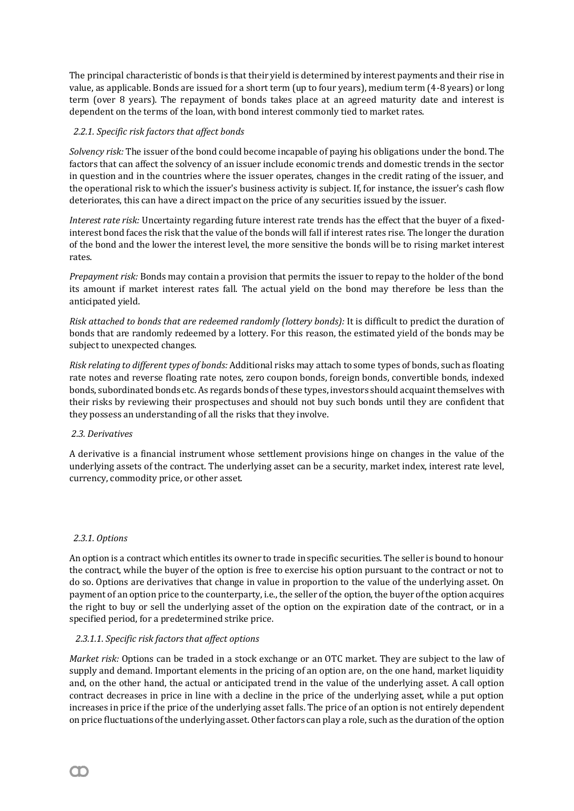The principal characteristic of bonds is that their yield is determined by interest payments and their rise in value, as applicable. Bonds are issued for a short term (up to four years), medium term (4-8 years) or long term (over 8 years). The repayment of bonds takes place at an agreed maturity date and interest is dependent on the terms of the loan, with bond interest commonly tied to market rates.

# *2.2.1. Specific risk factors that affect bonds*

*Solvency risk:* The issuer of the bond could become incapable of paying his obligations under the bond. The factors that can affect the solvency of an issuer include economic trends and domestic trends in the sector in question and in the countries where the issuer operates, changes in the credit rating of the issuer, and the operational risk to which the issuer's business activity is subject. If, for instance, the issuer's cash flow deteriorates, this can have a direct impact on the price of any securities issued by the issuer.

*Interest rate risk:* Uncertainty regarding future interest rate trends has the effect that the buyer of a fixedinterest bond faces the risk that the value of the bonds will fall if interest rates rise. The longer the duration of the bond and the lower the interest level, the more sensitive the bonds will be to rising market interest rates.

*Prepayment risk:* Bonds may contain a provision that permits the issuer to repay to the holder of the bond its amount if market interest rates fall. The actual yield on the bond may therefore be less than the anticipated yield.

*Risk attached to bonds that are redeemed randomly (lottery bonds):* It is difficult to predict the duration of bonds that are randomly redeemed by a lottery. For this reason, the estimated yield of the bonds may be subject to unexpected changes.

*Risk relating to different types of bonds:* Additional risks may attach to some types of bonds, such as floating rate notes and reverse floating rate notes, zero coupon bonds, foreign bonds, convertible bonds, indexed bonds, subordinated bonds etc. As regards bonds of these types, investors should acquaint themselves with their risks by reviewing their prospectuses and should not buy such bonds until they are confident that they possess an understanding of all the risks that they involve.

### *2.3. Derivatives*

A derivative is a financial instrument whose settlement provisions hinge on changes in the value of the underlying assets of the contract. The underlying asset can be a security, market index, interest rate level, currency, commodity price, or other asset.

### *2.3.1. Options*

An option is a contract which entitles its owner to trade in specific securities. The seller is bound to honour the contract, while the buyer of the option is free to exercise his option pursuant to the contract or not to do so. Options are derivatives that change in value in proportion to the value of the underlying asset. On payment of an option price to the counterparty, i.e., the seller of the option, the buyer of the option acquires the right to buy or sell the underlying asset of the option on the expiration date of the contract, or in a specified period, for a predetermined strike price.

### *2.3.1.1. Specific risk factors that affect options*

*Market risk:* Options can be traded in a stock exchange or an OTC market. They are subject to the law of supply and demand. Important elements in the pricing of an option are, on the one hand, market liquidity and, on the other hand, the actual or anticipated trend in the value of the underlying asset. A call option contract decreases in price in line with a decline in the price of the underlying asset, while a put option increases in price if the price of the underlying asset falls. The price of an option is not entirely dependent on price fluctuations of the underlying asset. Other factors can play a role, such as the duration of the option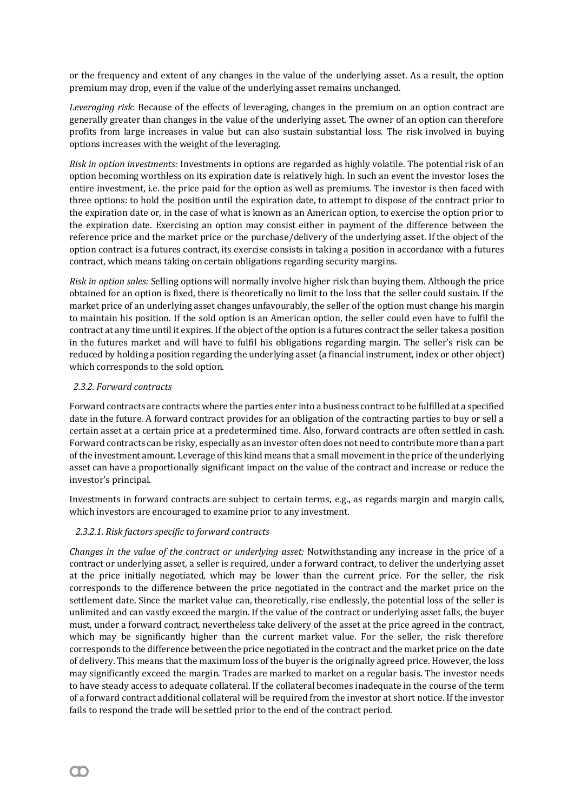or the frequency and extent of any changes in the value of the underlying asset. As a result, the option premium may drop, even if the value of the underlying asset remains unchanged.

*Leveraging risk*: Because of the effects of leveraging, changes in the premium on an option contract are generally greater than changes in the value of the underlying asset. The owner of an option can therefore profits from large increases in value but can also sustain substantial loss. The risk involved in buying options increases with the weight of the leveraging.

*Risk in option investments:* Investments in options are regarded as highly volatile. The potential risk of an option becoming worthless on its expiration date is relatively high. In such an event the investor loses the entire investment, i.e. the price paid for the option as well as premiums. The investor is then faced with three options: to hold the position until the expiration date, to attempt to dispose of the contract prior to the expiration date or, in the case of what is known as an American option, to exercise the option prior to the expiration date. Exercising an option may consist either in payment of the difference between the reference price and the market price or the purchase/delivery of the underlying asset. If the object of the option contract is a futures contract, its exercise consists in taking a position in accordance with a futures contract, which means taking on certain obligations regarding security margins.

*Risk in option sales:* Selling options will normally involve higher risk than buying them. Although the price obtained for an option is fixed, there is theoretically no limit to the loss that the seller could sustain. If the market price of an underlying asset changes unfavourably, the seller of the option must change his margin to maintain his position. If the sold option is an American option, the seller could even have to fulfil the contract at any time until it expires. If the object of the option is a futures contract the seller takes a position in the futures market and will have to fulfil his obligations regarding margin. The seller's risk can be reduced by holding a position regarding the underlying asset (a financial instrument, index or other object) which corresponds to the sold option.

### *2.3.2. Forward contracts*

Forward contracts are contracts where the parties enter into a business contract to be fulfilled at a specified date in the future. A forward contract provides for an obligation of the contracting parties to buy or sell a certain asset at a certain price at a predetermined time. Also, forward contracts are often settled in cash. Forward contracts can be risky, especially as an investor often does not need to contribute more than a part of the investment amount. Leverage of this kind means that a small movement in the price of the underlying asset can have a proportionally significant impact on the value of the contract and increase or reduce the investor's principal.

Investments in forward contracts are subject to certain terms, e.g., as regards margin and margin calls, which investors are encouraged to examine prior to any investment.

# *2.3.2.1. Risk factors specific to forward contracts*

*Changes in the value of the contract or underlying asset:* Notwithstanding any increase in the price of a contract or underlying asset, a seller is required, under a forward contract, to deliver the underlying asset at the price initially negotiated, which may be lower than the current price. For the seller, the risk corresponds to the difference between the price negotiated in the contract and the market price on the settlement date. Since the market value can, theoretically, rise endlessly, the potential loss of the seller is unlimited and can vastly exceed the margin. If the value of the contract or underlying asset falls, the buyer must, under a forward contract, nevertheless take delivery of the asset at the price agreed in the contract, which may be significantly higher than the current market value. For the seller, the risk therefore corresponds to the difference between the price negotiated in the contract and the market price on the date of delivery. This means that the maximum loss of the buyer is the originally agreed price. However, the loss may significantly exceed the margin. Trades are marked to market on a regular basis. The investor needs to have steady access to adequate collateral. If the collateral becomes inadequate in the course of the term of a forward contract additional collateral will be required from the investor at short notice. If the investor fails to respond the trade will be settled prior to the end of the contract period.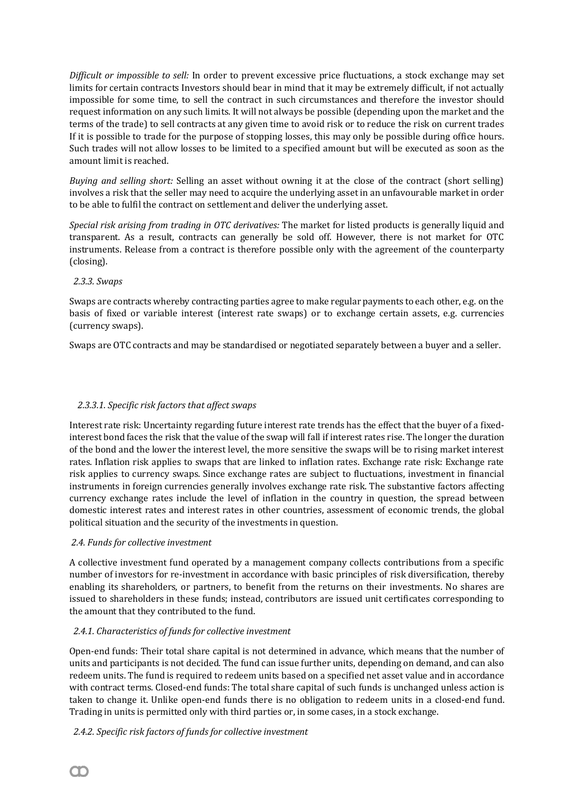*Difficult or impossible to sell:* In order to prevent excessive price fluctuations, a stock exchange may set limits for certain contracts Investors should bear in mind that it may be extremely difficult, if not actually impossible for some time, to sell the contract in such circumstances and therefore the investor should request information on any such limits. It will not always be possible (depending upon the market and the terms of the trade) to sell contracts at any given time to avoid risk or to reduce the risk on current trades If it is possible to trade for the purpose of stopping losses, this may only be possible during office hours. Such trades will not allow losses to be limited to a specified amount but will be executed as soon as the amount limit is reached.

*Buying and selling short:* Selling an asset without owning it at the close of the contract (short selling) involves a risk that the seller may need to acquire the underlying asset in an unfavourable market in order to be able to fulfil the contract on settlement and deliver the underlying asset.

*Special risk arising from trading in OTC derivatives:* The market for listed products is generally liquid and transparent. As a result, contracts can generally be sold off. However, there is not market for OTC instruments. Release from a contract is therefore possible only with the agreement of the counterparty (closing).

## *2.3.3. Swaps*

Swaps are contracts whereby contracting parties agree to make regular payments to each other, e.g. on the basis of fixed or variable interest (interest rate swaps) or to exchange certain assets, e.g. currencies (currency swaps).

Swaps are OTC contracts and may be standardised or negotiated separately between a buyer and a seller.

## *2.3.3.1. Specific risk factors that affect swaps*

Interest rate risk: Uncertainty regarding future interest rate trends has the effect that the buyer of a fixedinterest bond faces the risk that the value of the swap will fall if interest rates rise. The longer the duration of the bond and the lower the interest level, the more sensitive the swaps will be to rising market interest rates. Inflation risk applies to swaps that are linked to inflation rates. Exchange rate risk: Exchange rate risk applies to currency swaps. Since exchange rates are subject to fluctuations, investment in financial instruments in foreign currencies generally involves exchange rate risk. The substantive factors affecting currency exchange rates include the level of inflation in the country in question, the spread between domestic interest rates and interest rates in other countries, assessment of economic trends, the global political situation and the security of the investments in question.

### *2.4. Funds for collective investment*

A collective investment fund operated by a management company collects contributions from a specific number of investors for re-investment in accordance with basic principles of risk diversification, thereby enabling its shareholders, or partners, to benefit from the returns on their investments. No shares are issued to shareholders in these funds; instead, contributors are issued unit certificates corresponding to the amount that they contributed to the fund.

# *2.4.1. Characteristics of funds for collective investment*

Open-end funds: Their total share capital is not determined in advance, which means that the number of units and participants is not decided. The fund can issue further units, depending on demand, and can also redeem units. The fund is required to redeem units based on a specified net asset value and in accordance with contract terms. Closed-end funds: The total share capital of such funds is unchanged unless action is taken to change it. Unlike open-end funds there is no obligation to redeem units in a closed-end fund. Trading in units is permitted only with third parties or, in some cases, in a stock exchange.

 *2.4.2. Specific risk factors of funds for collective investment*